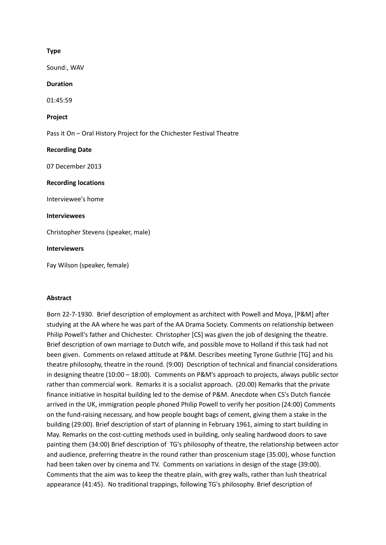# **Type**

Sound:, WAV

# **Duration**

01:45:59

# **Project**

Pass it On – Oral History Project for the Chichester Festival Theatre

# **Recording Date**

07 December 2013

#### **Recording locations**

Interviewee's home

# **Interviewees**

Christopher Stevens (speaker, male)

# **Interviewers**

Fay Wilson (speaker, female)

# **Abstract**

Born 22-7-1930. Brief description of employment as architect with Powell and Moya, [P&M] after studying at the AA where he was part of the AA Drama Society. Comments on relationship between Philip Powell's father and Chichester. Christopher [CS] was given the job of designing the theatre. Brief description of own marriage to Dutch wife, and possible move to Holland if this task had not been given. Comments on relaxed attitude at P&M. Describes meeting Tyrone Guthrie [TG] and his theatre philosophy, theatre in the round. (9:00) Description of technical and financial considerations in designing theatre (10:00 – 18:00). Comments on P&M's approach to projects, always public sector rather than commercial work. Remarks it is a socialist approach. (20.00) Remarks that the private finance initiative in hospital building led to the demise of P&M. Anecdote when CS's Dutch fiancée arrived in the UK, immigration people phoned Philip Powell to verify her position (24:00) Comments on the fund-raising necessary, and how people bought bags of cement, giving them a stake in the building (29:00). Brief description of start of planning in February 1961, aiming to start building in May. Remarks on the cost-cutting methods used in building, only sealing hardwood doors to save painting them (34:00) Brief description of TG's philosophy of theatre, the relationship between actor and audience, preferring theatre in the round rather than proscenium stage (35:00), whose function had been taken over by cinema and TV. Comments on variations in design of the stage (39:00). Comments that the aim was to keep the theatre plain, with grey walls, rather than lush theatrical appearance (41:45). No traditional trappings, following TG's philosophy. Brief description of